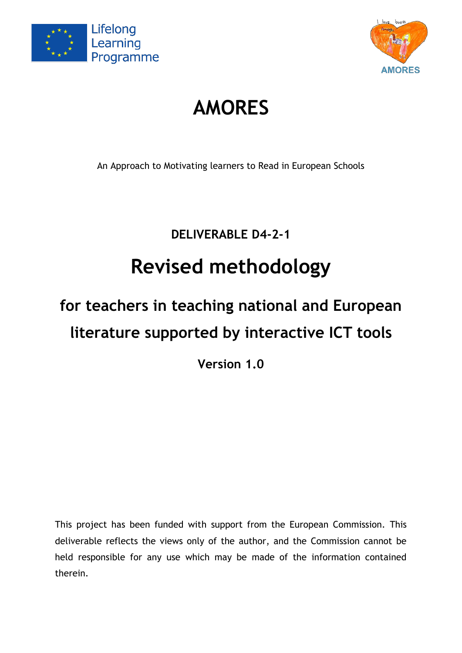



# **AMORES**

An Approach to Motivating learners to Read in European Schools

**DELIVERABLE D4-2-1**

# **Revised methodology**

# **for teachers in teaching national and European literature supported by interactive ICT tools**

**Version 1.0**

This project has been funded with support from the European Commission. This deliverable reflects the views only of the author, and the Commission cannot be held responsible for any use which may be made of the information contained therein.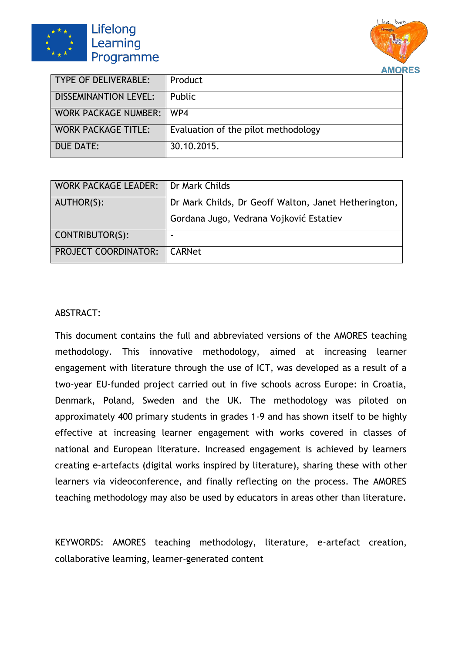



| TYPE OF DELIVERABLE:         | Product                             |
|------------------------------|-------------------------------------|
| <b>DISSEMINANTION LEVEL:</b> | Public                              |
| <b>WORK PACKAGE NUMBER:</b>  | WP4                                 |
| <b>WORK PACKAGE TITLE:</b>   | Evaluation of the pilot methodology |
| DUE DATE:                    | 30.10.2015.                         |

| WORK PACKAGE LEADER:                 | Dr Mark Childs                                       |
|--------------------------------------|------------------------------------------------------|
| AUTHOR(S):                           | Dr Mark Childs, Dr Geoff Walton, Janet Hetherington, |
|                                      | Gordana Jugo, Vedrana Vojković Estatiev              |
| CONTRIBUTOR(S):                      |                                                      |
| <b>PROJECT COORDINATOR:   CARNet</b> |                                                      |

#### ABSTRACT:

This document contains the full and abbreviated versions of the AMORES teaching methodology. This innovative methodology, aimed at increasing learner engagement with literature through the use of ICT, was developed as a result of a two-year EU-funded project carried out in five schools across Europe: in Croatia, Denmark, Poland, Sweden and the UK. The methodology was piloted on approximately 400 primary students in grades 1-9 and has shown itself to be highly effective at increasing learner engagement with works covered in classes of national and European literature. Increased engagement is achieved by learners creating e-artefacts (digital works inspired by literature), sharing these with other learners via videoconference, and finally reflecting on the process. The AMORES teaching methodology may also be used by educators in areas other than literature.

KEYWORDS: AMORES teaching methodology, literature, e-artefact creation, collaborative learning, learner-generated content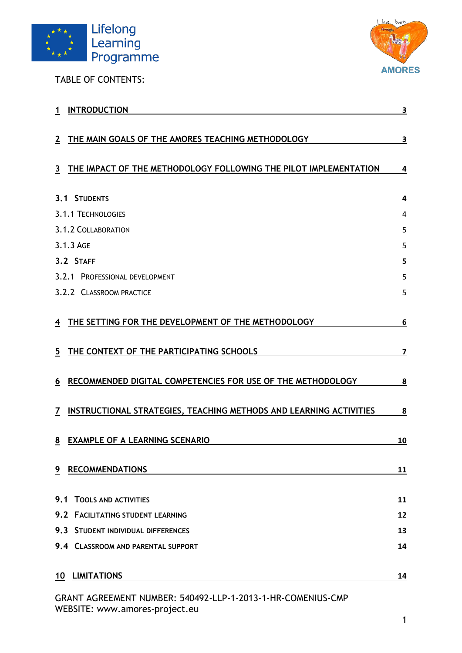

TABLE OF CONTENTS:



| <b>INTRODUCTION</b><br>1                                                                                 | 3                       |
|----------------------------------------------------------------------------------------------------------|-------------------------|
| THE MAIN GOALS OF THE AMORES TEACHING METHODOLOGY<br>2                                                   | <u>3</u>                |
| THE IMPACT OF THE METHODOLOGY FOLLOWING THE PILOT IMPLEMENTATION<br>3                                    | $\overline{\mathbf{4}}$ |
| 3.1 STUDENTS                                                                                             | 4                       |
| 3.1.1 TECHNOLOGIES                                                                                       | 4                       |
| 3.1.2 COLLABORATION                                                                                      | 5                       |
| 3.1.3 AGE                                                                                                | 5                       |
| 3.2 STAFF                                                                                                | 5                       |
| 3.2.1 PROFESSIONAL DEVELOPMENT                                                                           | 5                       |
| 3.2.2 CLASSROOM PRACTICE                                                                                 | 5                       |
| THE SETTING FOR THE DEVELOPMENT OF THE METHODOLOGY<br>4<br>THE CONTEXT OF THE PARTICIPATING SCHOOLS<br>5 | 6<br>7                  |
| RECOMMENDED DIGITAL COMPETENCIES FOR USE OF THE METHODOLOGY<br>6                                         | 8                       |
| INSTRUCTIONAL STRATEGIES, TEACHING METHODS AND LEARNING ACTIVITIES<br>7                                  | <u>8</u>                |
| <b>EXAMPLE OF A LEARNING SCENARIO</b><br>8                                                               | <u>10</u>               |
| 9 RECOMMENDATIONS                                                                                        | 11                      |
| 9.1<br><b>TOOLS AND ACTIVITIES</b>                                                                       | 11                      |
| 9.2 FACILITATING STUDENT LEARNING                                                                        | 12                      |
| 9.3 STUDENT INDIVIDUAL DIFFERENCES                                                                       | 13                      |
| 9.4 CLASSROOM AND PARENTAL SUPPORT                                                                       | 14                      |
| 10 LIMITATIONS                                                                                           | 14                      |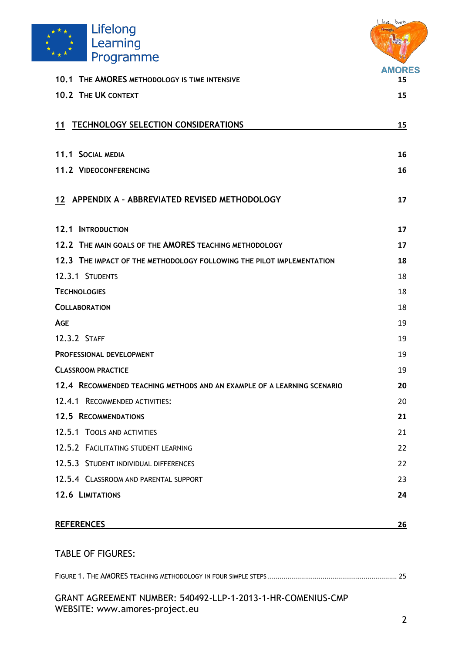

|                                                                         | love books    |
|-------------------------------------------------------------------------|---------------|
| Lifelong                                                                |               |
| Learning                                                                |               |
| Programme                                                               | <b>AMORES</b> |
| 10.1 THE AMORES METHODOLOGY IS TIME INTENSIVE                           | 15            |
| 10.2 THE UK CONTEXT                                                     | 15            |
| <b>TECHNOLOGY SELECTION CONSIDERATIONS</b><br>11                        | 15            |
| 11.1 SOCIAL MEDIA                                                       | 16            |
| 11.2 VIDEOCONFERENCING                                                  | 16            |
| 12 APPENDIX A - ABBREVIATED REVISED METHODOLOGY                         | 17            |
| <b>12.1 INTRODUCTION</b>                                                | 17            |
| 12.2 THE MAIN GOALS OF THE AMORES TEACHING METHODOLOGY                  | 17            |
| 12.3 THE IMPACT OF THE METHODOLOGY FOLLOWING THE PILOT IMPLEMENTATION   | 18            |
| 12.3.1 STUDENTS                                                         | 18            |
| <b>TECHNOLOGIES</b>                                                     | 18            |
| <b>COLLABORATION</b>                                                    | 18            |
| <b>AGE</b>                                                              | 19            |
| 12.3.2 STAFF                                                            | 19            |
| <b>PROFESSIONAL DEVELOPMENT</b>                                         | 19            |
| <b>CLASSROOM PRACTICE</b>                                               | 19            |
| 12.4 RECOMMENDED TEACHING METHODS AND AN EXAMPLE OF A LEARNING SCENARIO | 20            |
| 12.4.1 RECOMMENDED ACTIVITIES:                                          | 20            |
| <b>12.5 RECOMMENDATIONS</b>                                             | 21            |
| 12.5.1 TOOLS AND ACTIVITIES                                             | 21            |
| 12.5.2 FACILITATING STUDENT LEARNING                                    | 22            |
| 12.5.3 STUDENT INDIVIDUAL DIFFERENCES                                   | 22            |
| 12.5.4 CLASSROOM AND PARENTAL SUPPORT                                   | 23            |
| 12.6 LIMITATIONS                                                        | 24            |
| <b>REFERENCES</b>                                                       | 26            |
| <b>TABLE OF FIGURES:</b>                                                |               |

# FIGURE 1. THE AMORES TEACHING METHODOLOGY IN FOUR SIMPLE STEPS [..................................................................](#page-26-0) 25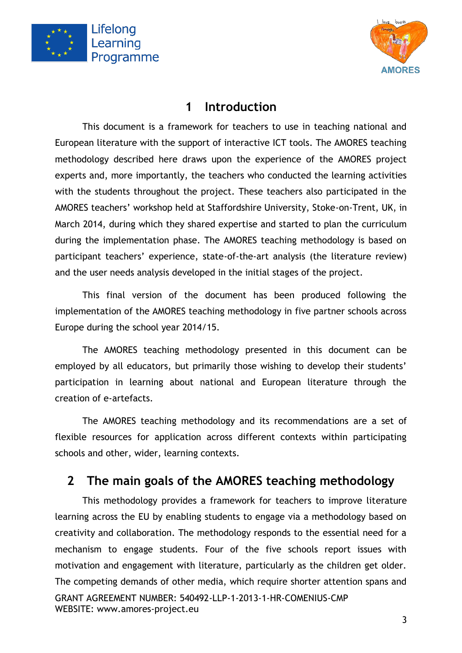



### **1 Introduction**

<span id="page-4-0"></span>This document is a framework for teachers to use in teaching national and European literature with the support of interactive ICT tools. The AMORES teaching methodology described here draws upon the experience of the AMORES project experts and, more importantly, the teachers who conducted the learning activities with the students throughout the project. These teachers also participated in the AMORES teachers' workshop held at Staffordshire University, Stoke-on-Trent, UK, in March 2014, during which they shared expertise and started to plan the curriculum during the implementation phase. The AMORES teaching methodology is based on participant teachers' experience, state-of-the-art analysis (the literature review) and the user needs analysis developed in the initial stages of the project.

This final version of the document has been produced following the implementation of the AMORES teaching methodology in five partner schools across Europe during the school year 2014/15.

The AMORES teaching methodology presented in this document can be employed by all educators, but primarily those wishing to develop their students' participation in learning about national and European literature through the creation of e-artefacts.

The AMORES teaching methodology and its recommendations are a set of flexible resources for application across different contexts within participating schools and other, wider, learning contexts.

# <span id="page-4-1"></span>**2 The main goals of the AMORES teaching methodology**

GRANT AGREEMENT NUMBER: 540492-LLP-1-2013-1-HR-COMENIUS-CMP WEBSITE: www.amores-project.eu This methodology provides a framework for teachers to improve literature learning across the EU by enabling students to engage via a methodology based on creativity and collaboration. The methodology responds to the essential need for a mechanism to engage students. Four of the five schools report issues with motivation and engagement with literature, particularly as the children get older. The competing demands of other media, which require shorter attention spans and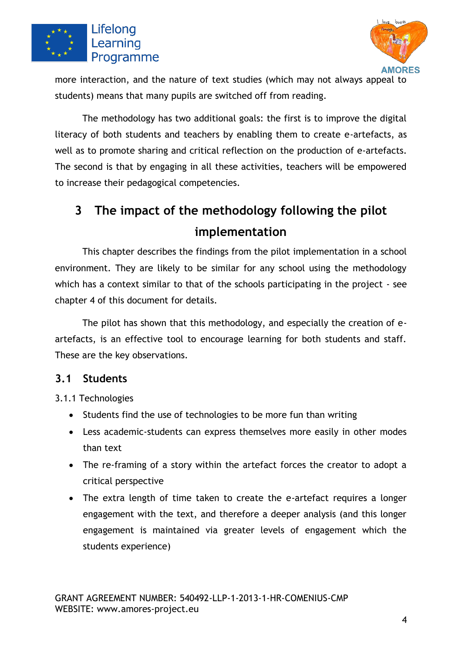



more interaction, and the nature of text studies (which may not always appeal to students) means that many pupils are switched off from reading.

The methodology has two additional goals: the first is to improve the digital literacy of both students and teachers by enabling them to create e-artefacts, as well as to promote sharing and critical reflection on the production of e-artefacts. The second is that by engaging in all these activities, teachers will be empowered to increase their pedagogical competencies.

# <span id="page-5-0"></span>**3 The impact of the methodology following the pilot implementation**

This chapter describes the findings from the pilot implementation in a school environment. They are likely to be similar for any school using the methodology which has a context similar to that of the schools participating in the project - see chapter 4 of this document for details.

The pilot has shown that this methodology, and especially the creation of eartefacts, is an effective tool to encourage learning for both students and staff. These are the key observations.

#### <span id="page-5-1"></span>**3.1 Students**

<span id="page-5-2"></span>3.1.1 Technologies

- Students find the use of technologies to be more fun than writing
- Less academic-students can express themselves more easily in other modes than text
- The re-framing of a story within the artefact forces the creator to adopt a critical perspective
- The extra length of time taken to create the e-artefact requires a longer engagement with the text, and therefore a deeper analysis (and this longer engagement is maintained via greater levels of engagement which the students experience)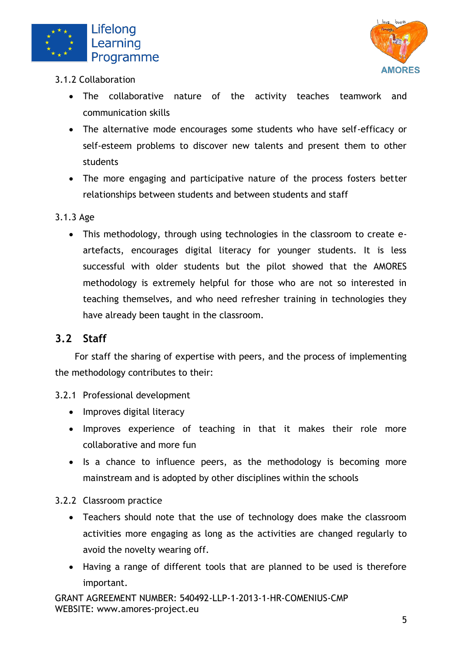



- <span id="page-6-0"></span>3.1.2 Collaboration
	- The collaborative nature of the activity teaches teamwork and communication skills
	- The alternative mode encourages some students who have self-efficacy or self-esteem problems to discover new talents and present them to other students
	- The more engaging and participative nature of the process fosters better relationships between students and between students and staff

#### <span id="page-6-1"></span>3.1.3 Age

• This methodology, through using technologies in the classroom to create eartefacts, encourages digital literacy for younger students. It is less successful with older students but the pilot showed that the AMORES methodology is extremely helpful for those who are not so interested in teaching themselves, and who need refresher training in technologies they have already been taught in the classroom.

#### <span id="page-6-2"></span>**3.2 Staff**

For staff the sharing of expertise with peers, and the process of implementing the methodology contributes to their:

#### <span id="page-6-3"></span>3.2.1 Professional development

- Improves digital literacy
- Improves experience of teaching in that it makes their role more collaborative and more fun
- Is a chance to influence peers, as the methodology is becoming more mainstream and is adopted by other disciplines within the schools

#### <span id="page-6-4"></span>3.2.2 Classroom practice

- Teachers should note that the use of technology does make the classroom activities more engaging as long as the activities are changed regularly to avoid the novelty wearing off.
- Having a range of different tools that are planned to be used is therefore important.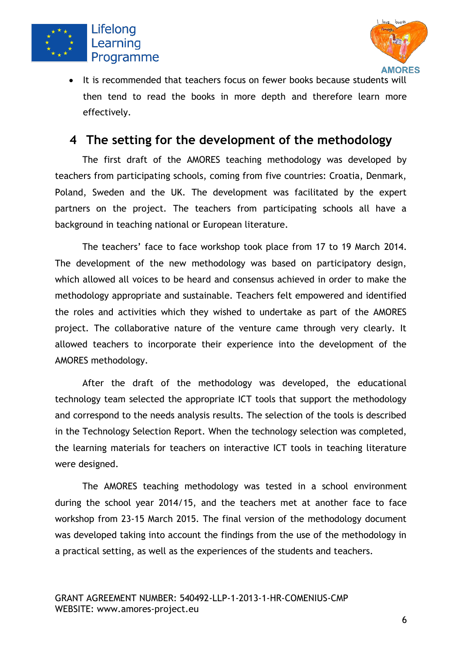



• It is recommended that teachers focus on fewer books because students will then tend to read the books in more depth and therefore learn more effectively.

## <span id="page-7-0"></span>**4 The setting for the development of the methodology**

The first draft of the AMORES teaching methodology was developed by teachers from participating schools, coming from five countries: Croatia, Denmark, Poland, Sweden and the UK. The development was facilitated by the expert partners on the project. The teachers from participating schools all have a background in teaching national or European literature.

The teachers' face to face workshop took place from 17 to 19 March 2014. The development of the new methodology was based on participatory design, which allowed all voices to be heard and consensus achieved in order to make the methodology appropriate and sustainable. Teachers felt empowered and identified the roles and activities which they wished to undertake as part of the AMORES project. The collaborative nature of the venture came through very clearly. It allowed teachers to incorporate their experience into the development of the AMORES methodology.

After the draft of the methodology was developed, the educational technology team selected the appropriate ICT tools that support the methodology and correspond to the needs analysis results. The selection of the tools is described in the Technology Selection Report. When the technology selection was completed, the learning materials for teachers on interactive ICT tools in teaching literature were designed.

The AMORES teaching methodology was tested in a school environment during the school year 2014/15, and the teachers met at another face to face workshop from 23-15 March 2015. The final version of the methodology document was developed taking into account the findings from the use of the methodology in a practical setting, as well as the experiences of the students and teachers.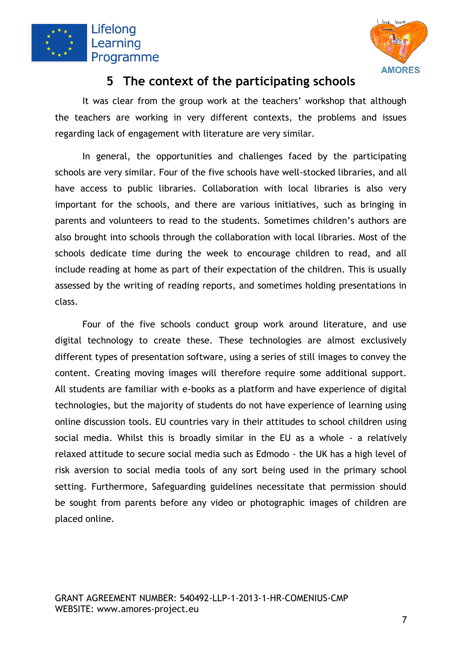



## **5 The context of the participating schools**

<span id="page-8-0"></span>It was clear from the group work at the teachers' workshop that although the teachers are working in very different contexts, the problems and issues regarding lack of engagement with literature are very similar.

In general, the opportunities and challenges faced by the participating schools are very similar. Four of the five schools have well-stocked libraries, and all have access to public libraries. Collaboration with local libraries is also very important for the schools, and there are various initiatives, such as bringing in parents and volunteers to read to the students. Sometimes children's authors are also brought into schools through the collaboration with local libraries. Most of the schools dedicate time during the week to encourage children to read, and all include reading at home as part of their expectation of the children. This is usually assessed by the writing of reading reports, and sometimes holding presentations in class.

Four of the five schools conduct group work around literature, and use digital technology to create these. These technologies are almost exclusively different types of presentation software, using a series of still images to convey the content. Creating moving images will therefore require some additional support. All students are familiar with e-books as a platform and have experience of digital technologies, but the majority of students do not have experience of learning using online discussion tools. EU countries vary in their attitudes to school children using social media. Whilst this is broadly similar in the EU as a whole - a relatively relaxed attitude to secure social media such as Edmodo - the UK has a high level of risk aversion to social media tools of any sort being used in the primary school setting. Furthermore, Safeguarding guidelines necessitate that permission should be sought from parents before any video or photographic images of children are placed online.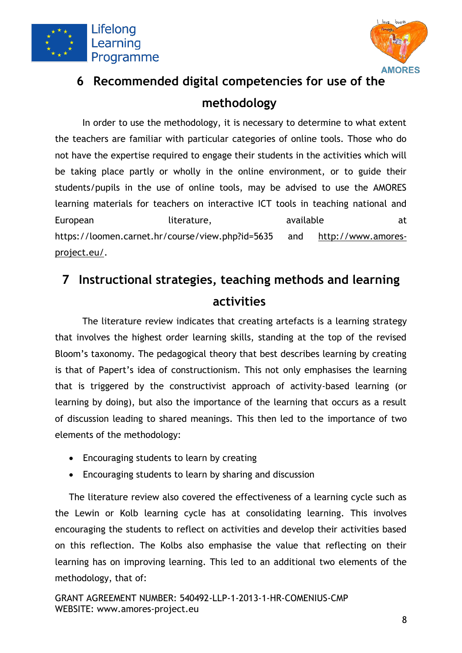



# <span id="page-9-0"></span>**6 Recommended digital competencies for use of the methodology**

In order to use the methodology, it is necessary to determine to what extent the teachers are familiar with particular categories of online tools. Those who do not have the expertise required to engage their students in the activities which will be taking place partly or wholly in the online environment, or to guide their students/pupils in the use of online tools, may be advised to use the AMORES learning materials for teachers on interactive ICT tools in teaching national and European literature, available at the set of the literature, https://loomen.carnet.hr/course/view.php?id=5635 and [http://www.amores](http://www.amores-project.eu/)[project.eu/.](http://www.amores-project.eu/)

# <span id="page-9-1"></span>**7 Instructional strategies, teaching methods and learning activities**

The literature review indicates that creating artefacts is a learning strategy that involves the highest order learning skills, standing at the top of the revised Bloom's taxonomy. The pedagogical theory that best describes learning by creating is that of Papert's idea of constructionism. This not only emphasises the learning that is triggered by the constructivist approach of activity-based learning (or learning by doing), but also the importance of the learning that occurs as a result of discussion leading to shared meanings. This then led to the importance of two elements of the methodology:

- Encouraging students to learn by creating
- Encouraging students to learn by sharing and discussion

The literature review also covered the effectiveness of a learning cycle such as the Lewin or Kolb learning cycle has at consolidating learning. This involves encouraging the students to reflect on activities and develop their activities based on this reflection. The Kolbs also emphasise the value that reflecting on their learning has on improving learning. This led to an additional two elements of the methodology, that of: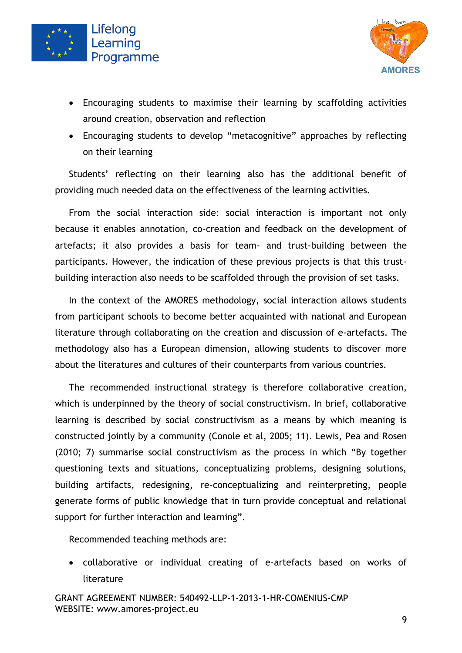



- Encouraging students to maximise their learning by scaffolding activities around creation, observation and reflection
- Encouraging students to develop "metacognitive" approaches by reflecting on their learning

Students' reflecting on their learning also has the additional benefit of providing much needed data on the effectiveness of the learning activities.

From the social interaction side: social interaction is important not only because it enables annotation, co-creation and feedback on the development of artefacts; it also provides a basis for team- and trust-building between the participants. However, the indication of these previous projects is that this trustbuilding interaction also needs to be scaffolded through the provision of set tasks.

In the context of the AMORES methodology, social interaction allows students from participant schools to become better acquainted with national and European literature through collaborating on the creation and discussion of e-artefacts. The methodology also has a European dimension, allowing students to discover more about the literatures and cultures of their counterparts from various countries.

The recommended instructional strategy is therefore collaborative creation, which is underpinned by the theory of social constructivism. In brief, collaborative learning is described by social constructivism as a means by which meaning is constructed jointly by a community (Conole et al, 2005; 11). Lewis, Pea and Rosen (2010; 7) summarise social constructivism as the process in which "By together questioning texts and situations, conceptualizing problems, designing solutions, building artifacts, redesigning, re-conceptualizing and reinterpreting, people generate forms of public knowledge that in turn provide conceptual and relational support for further interaction and learning".

Recommended teaching methods are:

• collaborative or individual creating of e-artefacts based on works of literature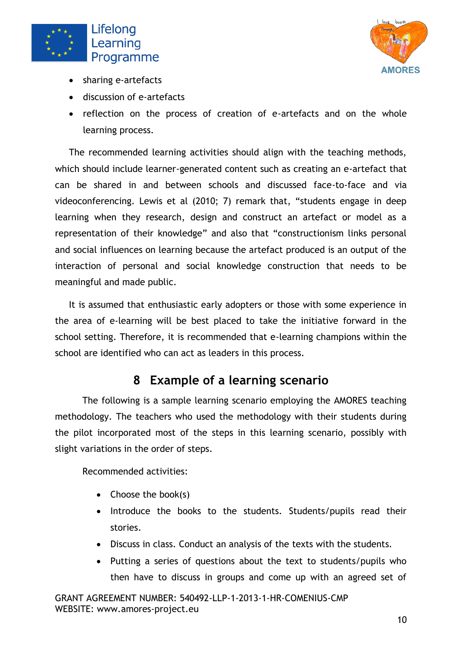



- sharing e-artefacts
- discussion of e-artefacts
- reflection on the process of creation of e-artefacts and on the whole learning process.

The recommended learning activities should align with the teaching methods, which should include learner-generated content such as creating an e-artefact that can be shared in and between schools and discussed face-to-face and via videoconferencing. Lewis et al (2010; 7) remark that, "students engage in deep learning when they research, design and construct an artefact or model as a representation of their knowledge" and also that "constructionism links personal and social influences on learning because the artefact produced is an output of the interaction of personal and social knowledge construction that needs to be meaningful and made public.

It is assumed that enthusiastic early adopters or those with some experience in the area of e-learning will be best placed to take the initiative forward in the school setting. Therefore, it is recommended that e-learning champions within the school are identified who can act as leaders in this process.

# **8 Example of a learning scenario**

<span id="page-11-0"></span>The following is a sample learning scenario employing the AMORES teaching methodology. The teachers who used the methodology with their students during the pilot incorporated most of the steps in this learning scenario, possibly with slight variations in the order of steps.

Recommended activities:

- Choose the book(s)
- Introduce the books to the students. Students/pupils read their stories.
- Discuss in class. Conduct an analysis of the texts with the students.
- Putting a series of questions about the text to students/pupils who then have to discuss in groups and come up with an agreed set of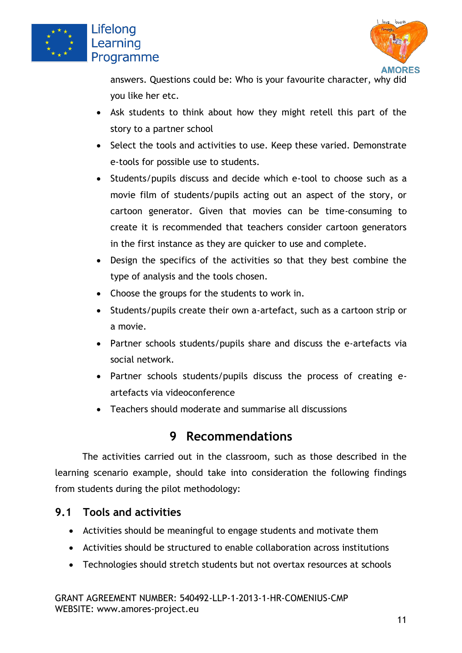



answers. Questions could be: Who is your favourite character, why did you like her etc.

- Ask students to think about how they might retell this part of the story to a partner school
- Select the tools and activities to use. Keep these varied. Demonstrate e-tools for possible use to students.
- Students/pupils discuss and decide which e-tool to choose such as a movie film of students/pupils acting out an aspect of the story, or cartoon generator. Given that movies can be time-consuming to create it is recommended that teachers consider cartoon generators in the first instance as they are quicker to use and complete.
- Design the specifics of the activities so that they best combine the type of analysis and the tools chosen.
- Choose the groups for the students to work in.
- Students/pupils create their own a-artefact, such as a cartoon strip or a movie.
- Partner schools students/pupils share and discuss the e-artefacts via social network.
- Partner schools students/pupils discuss the process of creating eartefacts via videoconference
- Teachers should moderate and summarise all discussions

# **9 Recommendations**

<span id="page-12-0"></span>The activities carried out in the classroom, such as those described in the learning scenario example, should take into consideration the following findings from students during the pilot methodology:

#### <span id="page-12-1"></span>**9.1 Tools and activities**

- Activities should be meaningful to engage students and motivate them
- Activities should be structured to enable collaboration across institutions
- Technologies should stretch students but not overtax resources at schools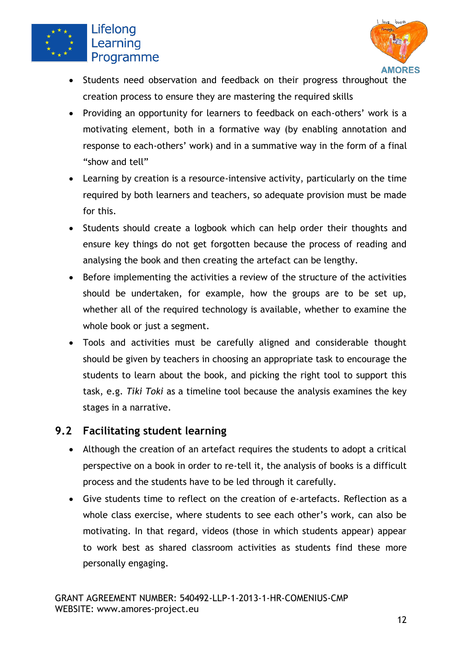



- Students need observation and feedback on their progress throughout the creation process to ensure they are mastering the required skills
- Providing an opportunity for learners to feedback on each-others' work is a motivating element, both in a formative way (by enabling annotation and response to each-others' work) and in a summative way in the form of a final "show and tell"
- Learning by creation is a resource-intensive activity, particularly on the time required by both learners and teachers, so adequate provision must be made for this.
- Students should create a logbook which can help order their thoughts and ensure key things do not get forgotten because the process of reading and analysing the book and then creating the artefact can be lengthy.
- Before implementing the activities a review of the structure of the activities should be undertaken, for example, how the groups are to be set up, whether all of the required technology is available, whether to examine the whole book or just a segment.
- Tools and activities must be carefully aligned and considerable thought should be given by teachers in choosing an appropriate task to encourage the students to learn about the book, and picking the right tool to support this task, e.g. *Tiki Toki* as a timeline tool because the analysis examines the key stages in a narrative.

#### <span id="page-13-0"></span>**9.2 Facilitating student learning**

- Although the creation of an artefact requires the students to adopt a critical perspective on a book in order to re-tell it, the analysis of books is a difficult process and the students have to be led through it carefully.
- x Give students time to reflect on the creation of e-artefacts. Reflection as a whole class exercise, where students to see each other's work, can also be motivating. In that regard, videos (those in which students appear) appear to work best as shared classroom activities as students find these more personally engaging.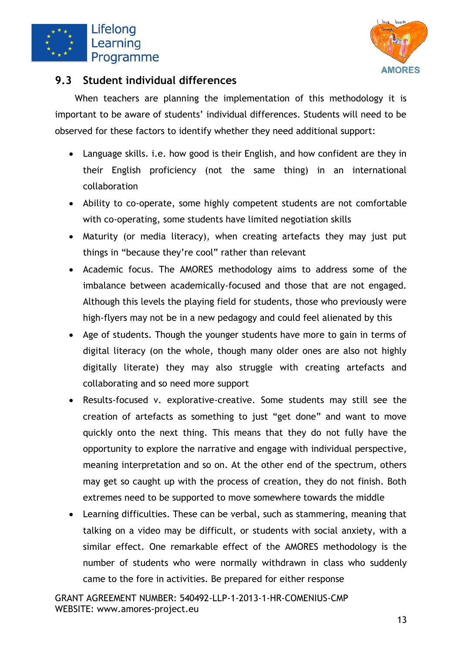



#### <span id="page-14-0"></span>**9.3 Student individual differences**

When teachers are planning the implementation of this methodology it is important to be aware of students' individual differences. Students will need to be observed for these factors to identify whether they need additional support:

- Language skills. i.e. how good is their English, and how confident are they in their English proficiency (not the same thing) in an international collaboration
- Ability to co-operate, some highly competent students are not comfortable with co-operating, some students have limited negotiation skills
- Maturity (or media literacy), when creating artefacts they may just put things in "because they're cool" rather than relevant
- Academic focus. The AMORES methodology aims to address some of the imbalance between academically-focused and those that are not engaged. Although this levels the playing field for students, those who previously were high-flyers may not be in a new pedagogy and could feel alienated by this
- Age of students. Though the younger students have more to gain in terms of digital literacy (on the whole, though many older ones are also not highly digitally literate) they may also struggle with creating artefacts and collaborating and so need more support
- Results-focused v. explorative-creative. Some students may still see the creation of artefacts as something to just "get done" and want to move quickly onto the next thing. This means that they do not fully have the opportunity to explore the narrative and engage with individual perspective, meaning interpretation and so on. At the other end of the spectrum, others may get so caught up with the process of creation, they do not finish. Both extremes need to be supported to move somewhere towards the middle
- Learning difficulties. These can be verbal, such as stammering, meaning that talking on a video may be difficult, or students with social anxiety, with a similar effect. One remarkable effect of the AMORES methodology is the number of students who were normally withdrawn in class who suddenly came to the fore in activities. Be prepared for either response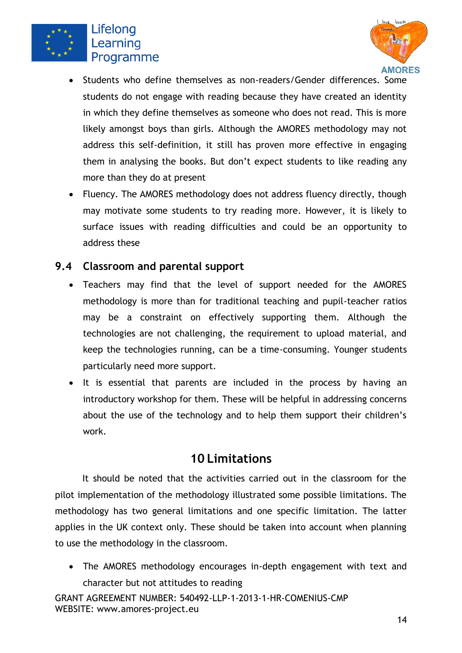



- Students who define themselves as non-readers/Gender differences. Some students do not engage with reading because they have created an identity in which they define themselves as someone who does not read. This is more likely amongst boys than girls. Although the AMORES methodology may not address this self-definition, it still has proven more effective in engaging them in analysing the books. But don't expect students to like reading any more than they do at present
- Fluency. The AMORES methodology does not address fluency directly, though may motivate some students to try reading more. However, it is likely to surface issues with reading difficulties and could be an opportunity to address these

#### <span id="page-15-0"></span>**9.4 Classroom and parental support**

- Teachers may find that the level of support needed for the AMORES methodology is more than for traditional teaching and pupil-teacher ratios may be a constraint on effectively supporting them. Although the technologies are not challenging, the requirement to upload material, and keep the technologies running, can be a time-consuming. Younger students particularly need more support.
- It is essential that parents are included in the process by having an introductory workshop for them. These will be helpful in addressing concerns about the use of the technology and to help them support their children's work.

### **10 Limitations**

<span id="page-15-1"></span>It should be noted that the activities carried out in the classroom for the pilot implementation of the methodology illustrated some possible limitations. The methodology has two general limitations and one specific limitation. The latter applies in the UK context only. These should be taken into account when planning to use the methodology in the classroom.

• The AMORES methodology encourages in-depth engagement with text and character but not attitudes to reading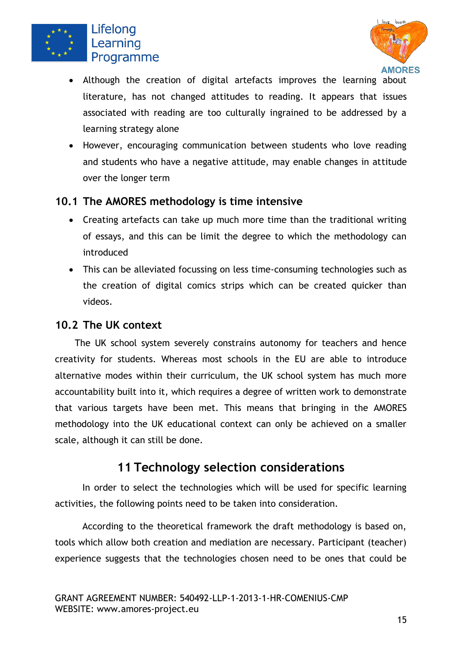



- Although the creation of digital artefacts improves the learning about literature, has not changed attitudes to reading. It appears that issues associated with reading are too culturally ingrained to be addressed by a learning strategy alone
- However, encouraging communication between students who love reading and students who have a negative attitude, may enable changes in attitude over the longer term

#### <span id="page-16-0"></span>**10.1 The AMORES methodology is time intensive**

- Creating artefacts can take up much more time than the traditional writing of essays, and this can be limit the degree to which the methodology can introduced
- This can be alleviated focussing on less time-consuming technologies such as the creation of digital comics strips which can be created quicker than videos.

#### <span id="page-16-1"></span>**10.2 The UK context**

The UK school system severely constrains autonomy for teachers and hence creativity for students. Whereas most schools in the EU are able to introduce alternative modes within their curriculum, the UK school system has much more accountability built into it, which requires a degree of written work to demonstrate that various targets have been met. This means that bringing in the AMORES methodology into the UK educational context can only be achieved on a smaller scale, although it can still be done.

## **11 Technology selection considerations**

<span id="page-16-2"></span>In order to select the technologies which will be used for specific learning activities, the following points need to be taken into consideration.

According to the theoretical framework the draft methodology is based on, tools which allow both creation and mediation are necessary. Participant (teacher) experience suggests that the technologies chosen need to be ones that could be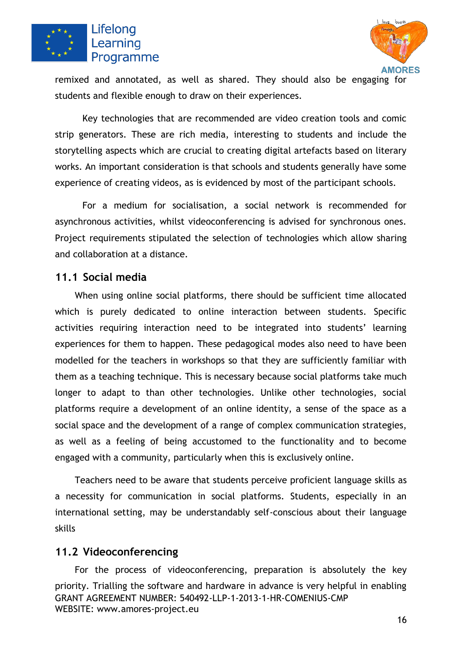



remixed and annotated, as well as shared. They should also be engaging for students and flexible enough to draw on their experiences.

Key technologies that are recommended are video creation tools and comic strip generators. These are rich media, interesting to students and include the storytelling aspects which are crucial to creating digital artefacts based on literary works. An important consideration is that schools and students generally have some experience of creating videos, as is evidenced by most of the participant schools.

For a medium for socialisation, a social network is recommended for asynchronous activities, whilst videoconferencing is advised for synchronous ones. Project requirements stipulated the selection of technologies which allow sharing and collaboration at a distance.

#### <span id="page-17-0"></span>**11.1 Social media**

When using online social platforms, there should be sufficient time allocated which is purely dedicated to online interaction between students. Specific activities requiring interaction need to be integrated into students' learning experiences for them to happen. These pedagogical modes also need to have been modelled for the teachers in workshops so that they are sufficiently familiar with them as a teaching technique. This is necessary because social platforms take much longer to adapt to than other technologies. Unlike other technologies, social platforms require a development of an online identity, a sense of the space as a social space and the development of a range of complex communication strategies, as well as a feeling of being accustomed to the functionality and to become engaged with a community, particularly when this is exclusively online.

Teachers need to be aware that students perceive proficient language skills as a necessity for communication in social platforms. Students, especially in an international setting, may be understandably self-conscious about their language skills

#### <span id="page-17-1"></span>**11.2 Videoconferencing**

GRANT AGREEMENT NUMBER: 540492-LLP-1-2013-1-HR-COMENIUS-CMP WEBSITE: www.amores-project.eu For the process of videoconferencing, preparation is absolutely the key priority. Trialling the software and hardware in advance is very helpful in enabling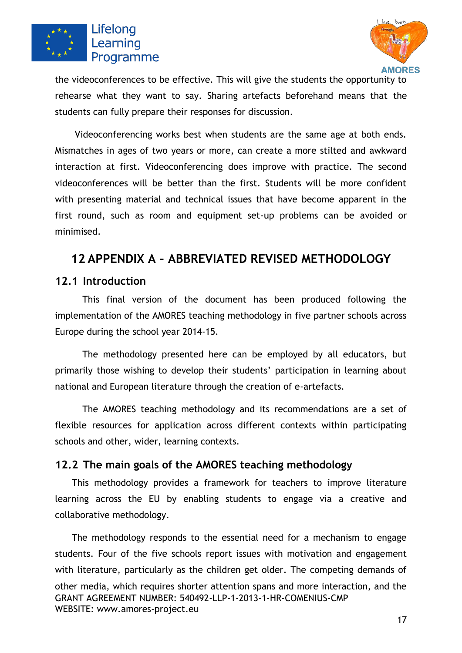



the videoconferences to be effective. This will give the students the opportunity to rehearse what they want to say. Sharing artefacts beforehand means that the students can fully prepare their responses for discussion.

Videoconferencing works best when students are the same age at both ends. Mismatches in ages of two years or more, can create a more stilted and awkward interaction at first. Videoconferencing does improve with practice. The second videoconferences will be better than the first. Students will be more confident with presenting material and technical issues that have become apparent in the first round, such as room and equipment set-up problems can be avoided or minimised.

### <span id="page-18-0"></span>**12 APPENDIX A – ABBREVIATED REVISED METHODOLOGY**

#### <span id="page-18-1"></span>**12.1 Introduction**

This final version of the document has been produced following the implementation of the AMORES teaching methodology in five partner schools across Europe during the school year 2014-15.

The methodology presented here can be employed by all educators, but primarily those wishing to develop their students' participation in learning about national and European literature through the creation of e-artefacts.

The AMORES teaching methodology and its recommendations are a set of flexible resources for application across different contexts within participating schools and other, wider, learning contexts.

#### <span id="page-18-2"></span>**12.2 The main goals of the AMORES teaching methodology**

This methodology provides a framework for teachers to improve literature learning across the EU by enabling students to engage via a creative and collaborative methodology.

GRANT AGREEMENT NUMBER: 540492-LLP-1-2013-1-HR-COMENIUS-CMP WEBSITE: www.amores-project.eu The methodology responds to the essential need for a mechanism to engage students. Four of the five schools report issues with motivation and engagement with literature, particularly as the children get older. The competing demands of other media, which requires shorter attention spans and more interaction, and the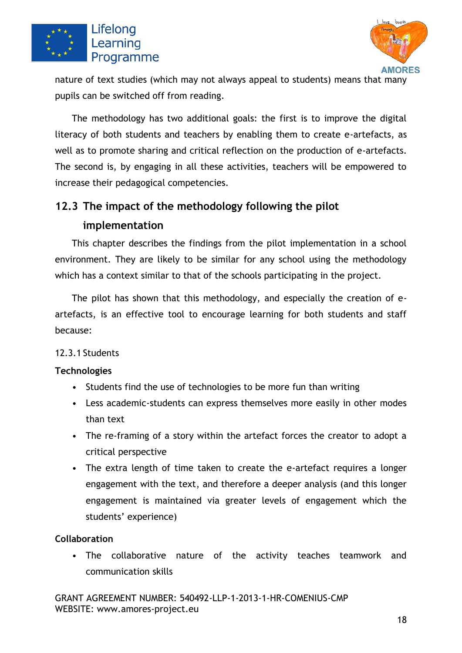



nature of text studies (which may not always appeal to students) means that many pupils can be switched off from reading.

The methodology has two additional goals: the first is to improve the digital literacy of both students and teachers by enabling them to create e-artefacts, as well as to promote sharing and critical reflection on the production of e-artefacts. The second is, by engaging in all these activities, teachers will be empowered to increase their pedagogical competencies.

# <span id="page-19-0"></span>**12.3 The impact of the methodology following the pilot implementation**

This chapter describes the findings from the pilot implementation in a school environment. They are likely to be similar for any school using the methodology which has a context similar to that of the schools participating in the project.

The pilot has shown that this methodology, and especially the creation of eartefacts, is an effective tool to encourage learning for both students and staff because:

#### <span id="page-19-1"></span>12.3.1 Students

#### <span id="page-19-2"></span>**Technologies**

- Students find the use of technologies to be more fun than writing
- Less academic-students can express themselves more easily in other modes than text
- The re-framing of a story within the artefact forces the creator to adopt a critical perspective
- The extra length of time taken to create the e-artefact requires a longer engagement with the text, and therefore a deeper analysis (and this longer engagement is maintained via greater levels of engagement which the students' experience)

#### <span id="page-19-3"></span>**Collaboration**

• The collaborative nature of the activity teaches teamwork and communication skills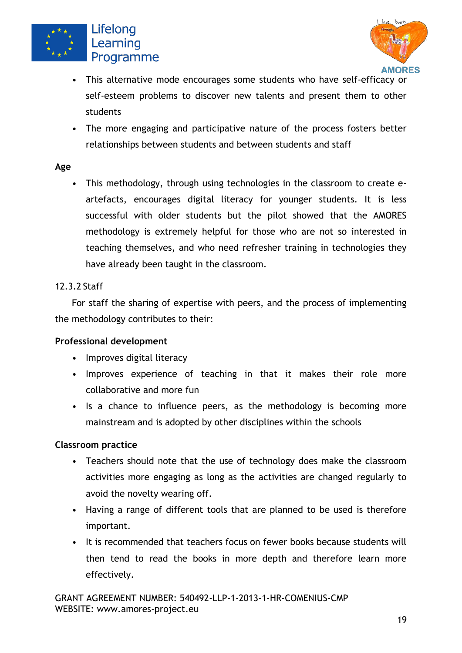



- This alternative mode encourages some students who have self-efficacy or self-esteem problems to discover new talents and present them to other students
- The more engaging and participative nature of the process fosters better relationships between students and between students and staff

#### <span id="page-20-0"></span>**Age**

• This methodology, through using technologies in the classroom to create eartefacts, encourages digital literacy for younger students. It is less successful with older students but the pilot showed that the AMORES methodology is extremely helpful for those who are not so interested in teaching themselves, and who need refresher training in technologies they have already been taught in the classroom.

#### <span id="page-20-1"></span>12.3.2 Staff

For staff the sharing of expertise with peers, and the process of implementing the methodology contributes to their:

#### <span id="page-20-2"></span>**Professional development**

- Improves digital literacy
- Improves experience of teaching in that it makes their role more collaborative and more fun
- Is a chance to influence peers, as the methodology is becoming more mainstream and is adopted by other disciplines within the schools

#### <span id="page-20-3"></span>**Classroom practice**

- Teachers should note that the use of technology does make the classroom activities more engaging as long as the activities are changed regularly to avoid the novelty wearing off.
- Having a range of different tools that are planned to be used is therefore important.
- It is recommended that teachers focus on fewer books because students will then tend to read the books in more depth and therefore learn more effectively.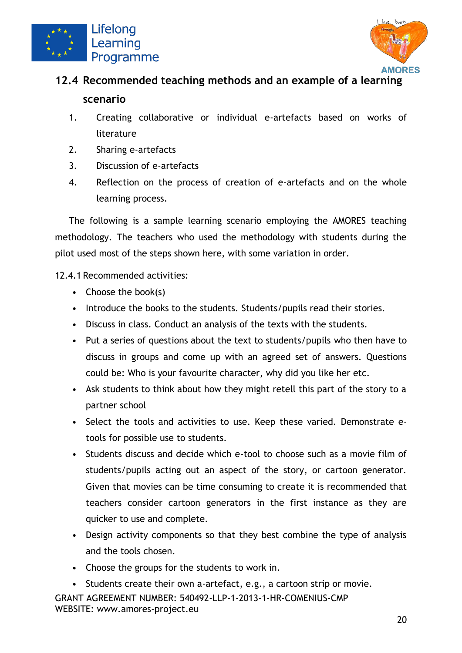



# <span id="page-21-0"></span>**12.4 Recommended teaching methods and an example of a learning scenario**

- 1. Creating collaborative or individual e-artefacts based on works of literature
- 2. Sharing e-artefacts
- 3. Discussion of e-artefacts
- 4. Reflection on the process of creation of e-artefacts and on the whole learning process.

The following is a sample learning scenario employing the AMORES teaching methodology. The teachers who used the methodology with students during the pilot used most of the steps shown here, with some variation in order.

<span id="page-21-1"></span>12.4.1 Recommended activities:

- Choose the book(s)
- Introduce the books to the students. Students/pupils read their stories.
- Discuss in class. Conduct an analysis of the texts with the students.
- Put a series of questions about the text to students/pupils who then have to discuss in groups and come up with an agreed set of answers. Questions could be: Who is your favourite character, why did you like her etc.
- Ask students to think about how they might retell this part of the story to a partner school
- Select the tools and activities to use. Keep these varied. Demonstrate etools for possible use to students.
- Students discuss and decide which e-tool to choose such as a movie film of students/pupils acting out an aspect of the story, or cartoon generator. Given that movies can be time consuming to create it is recommended that teachers consider cartoon generators in the first instance as they are quicker to use and complete.
- Design activity components so that they best combine the type of analysis and the tools chosen.
- Choose the groups for the students to work in.

GRANT AGREEMENT NUMBER: 540492-LLP-1-2013-1-HR-COMENIUS-CMP WEBSITE: www.amores-project.eu Students create their own a-artefact, e.g., a cartoon strip or movie.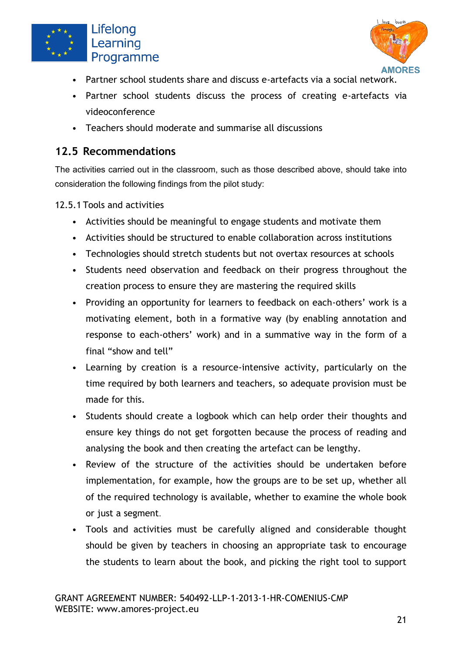



- Partner school students share and discuss e-artefacts via a social network.
- Partner school students discuss the process of creating e-artefacts via videoconference
- Teachers should moderate and summarise all discussions

#### <span id="page-22-0"></span>**12.5 Recommendations**

The activities carried out in the classroom, such as those described above, should take into consideration the following findings from the pilot study:

<span id="page-22-1"></span>12.5.1 Tools and activities

- Activities should be meaningful to engage students and motivate them
- Activities should be structured to enable collaboration across institutions
- Technologies should stretch students but not overtax resources at schools
- Students need observation and feedback on their progress throughout the creation process to ensure they are mastering the required skills
- Providing an opportunity for learners to feedback on each-others' work is a motivating element, both in a formative way (by enabling annotation and response to each-others' work) and in a summative way in the form of a final "show and tell"
- Learning by creation is a resource-intensive activity, particularly on the time required by both learners and teachers, so adequate provision must be made for this.
- Students should create a logbook which can help order their thoughts and ensure key things do not get forgotten because the process of reading and analysing the book and then creating the artefact can be lengthy.
- Review of the structure of the activities should be undertaken before implementation, for example, how the groups are to be set up, whether all of the required technology is available, whether to examine the whole book or just a segment.
- Tools and activities must be carefully aligned and considerable thought should be given by teachers in choosing an appropriate task to encourage the students to learn about the book, and picking the right tool to support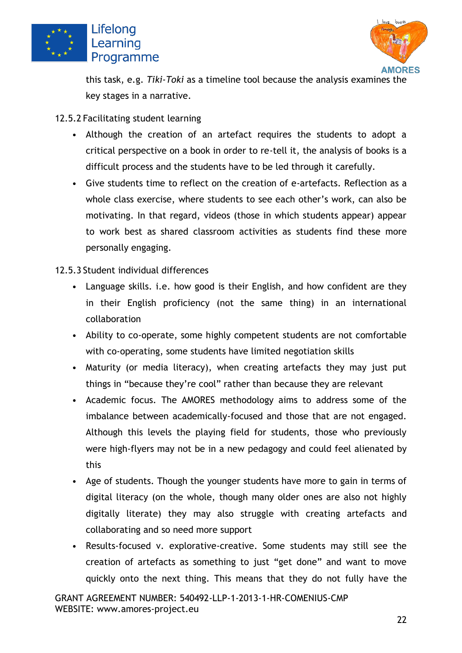



this task, e.g. *Tiki-Toki* as a timeline tool because the analysis examines the key stages in a narrative.

- <span id="page-23-0"></span>12.5.2 Facilitating student learning
	- Although the creation of an artefact requires the students to adopt a critical perspective on a book in order to re-tell it, the analysis of books is a difficult process and the students have to be led through it carefully.
	- Give students time to reflect on the creation of e-artefacts. Reflection as a whole class exercise, where students to see each other's work, can also be motivating. In that regard, videos (those in which students appear) appear to work best as shared classroom activities as students find these more personally engaging.
- <span id="page-23-1"></span>12.5.3 Student individual differences
	- Language skills. i.e. how good is their English, and how confident are they in their English proficiency (not the same thing) in an international collaboration
	- Ability to co-operate, some highly competent students are not comfortable with co-operating, some students have limited negotiation skills
	- Maturity (or media literacy), when creating artefacts they may just put things in "because they're cool" rather than because they are relevant
	- Academic focus. The AMORES methodology aims to address some of the imbalance between academically-focused and those that are not engaged. Although this levels the playing field for students, those who previously were high-flyers may not be in a new pedagogy and could feel alienated by this
	- Age of students. Though the younger students have more to gain in terms of digital literacy (on the whole, though many older ones are also not highly digitally literate) they may also struggle with creating artefacts and collaborating and so need more support
	- Results-focused v. explorative-creative. Some students may still see the creation of artefacts as something to just "get done" and want to move quickly onto the next thing. This means that they do not fully have the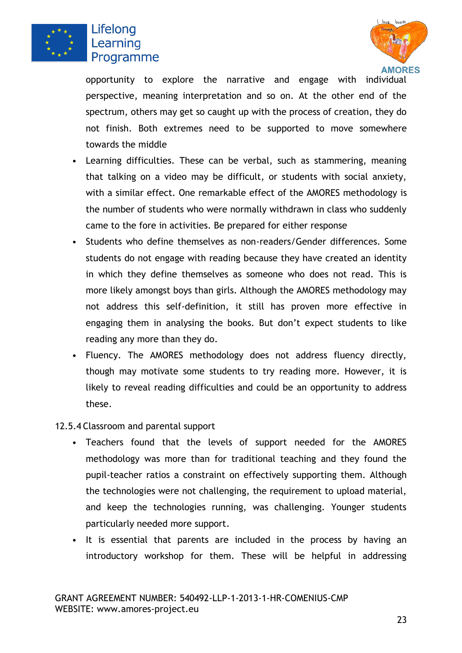



opportunity to explore the narrative and engage with individual perspective, meaning interpretation and so on. At the other end of the spectrum, others may get so caught up with the process of creation, they do not finish. Both extremes need to be supported to move somewhere towards the middle

- Learning difficulties. These can be verbal, such as stammering, meaning that talking on a video may be difficult, or students with social anxiety, with a similar effect. One remarkable effect of the AMORES methodology is the number of students who were normally withdrawn in class who suddenly came to the fore in activities. Be prepared for either response
- Students who define themselves as non-readers/Gender differences. Some students do not engage with reading because they have created an identity in which they define themselves as someone who does not read. This is more likely amongst boys than girls. Although the AMORES methodology may not address this self-definition, it still has proven more effective in engaging them in analysing the books. But don't expect students to like reading any more than they do.
- Fluency. The AMORES methodology does not address fluency directly, though may motivate some students to try reading more. However, it is likely to reveal reading difficulties and could be an opportunity to address these.
- <span id="page-24-0"></span>12.5.4 Classroom and parental support
	- Teachers found that the levels of support needed for the AMORES methodology was more than for traditional teaching and they found the pupil-teacher ratios a constraint on effectively supporting them. Although the technologies were not challenging, the requirement to upload material, and keep the technologies running, was challenging. Younger students particularly needed more support.
	- It is essential that parents are included in the process by having an introductory workshop for them. These will be helpful in addressing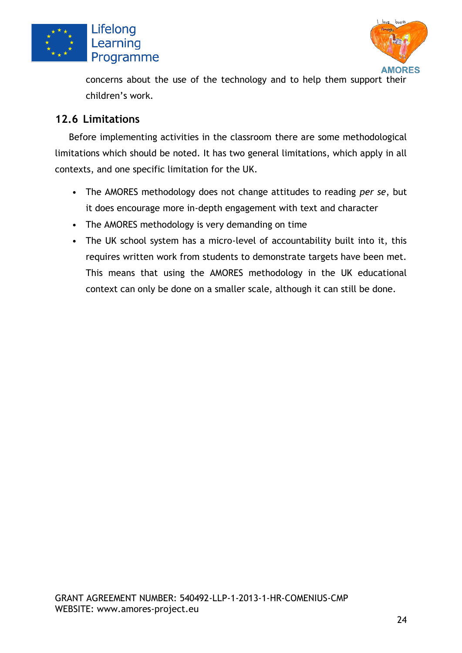



concerns about the use of the technology and to help them support their children's work.

#### <span id="page-25-0"></span>**12.6 Limitations**

Before implementing activities in the classroom there are some methodological limitations which should be noted. It has two general limitations, which apply in all contexts, and one specific limitation for the UK.

- The AMORES methodology does not change attitudes to reading *per se*, but it does encourage more in-depth engagement with text and character
- The AMORES methodology is very demanding on time
- The UK school system has a micro-level of accountability built into it, this requires written work from students to demonstrate targets have been met. This means that using the AMORES methodology in the UK educational context can only be done on a smaller scale, although it can still be done.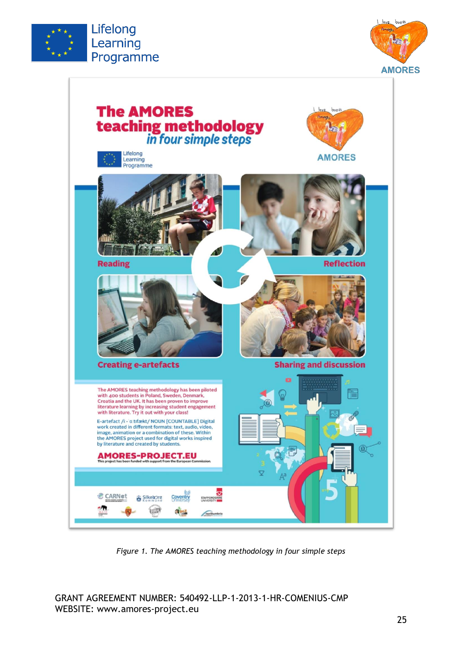



<span id="page-26-0"></span>

*Figure 1. The AMORES teaching methodology in four simple steps*